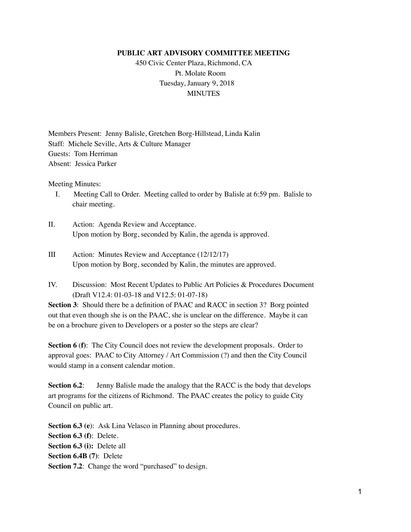## **PUBLIC ART ADVISORY COMMITTEE MEETING**

 450 Civic Center Plaza, Richmond, CA Pt. Molate Room Tuesday, January 9, 2018 **MINUTES** 

Members Present: Jenny Balisle, Gretchen Borg-Hillstead, Linda Kalin Staff: Michele Seville, Arts & Culture Manager Guests: Tom Herriman Absent: Jessica Parker

Meeting Minutes:

- I. Meeting Call to Order. Meeting called to order by Balisle at 6:59 pm. Balisle to chair meeting.
- II. Action: Agenda Review and Acceptance. Upon motion by Borg, seconded by Kalin, the agenda is approved.
- III Action: Minutes Review and Acceptance (12/12/17) Upon motion by Borg, seconded by Kalin, the minutes are approved.
- IV. Discussion: Most Recent Updates to Public Art Policies & Procedures Document (Draft V12.4: 01-03-18 and V12.5: 01-07-18)

**Section 3**: Should there be a definition of PAAC and RACC in section 3? Borg pointed out that even though she is on the PAAC, she is unclear on the difference. Maybe it can be on a brochure given to Developers or a poster so the steps are clear?

**Section 6 (f):** The City Council does not review the development proposals. Order to approval goes: PAAC to City Attorney / Art Commission (?) and then the City Council would stamp in a consent calendar motion.

**Section 6.2:** Jenny Balisle made the analogy that the RACC is the body that develops art programs for the citizens of Richmond. The PAAC creates the policy to guide City Council on public art.

**Section 6.3 (e):** Ask Lina Velasco in Planning about procedures. **Section 6.3 (f)**: Delete. **Section 6.3 (i):** Delete all **Section 6.4B (7)**: Delete **Section 7.2:** Change the word "purchased" to design.